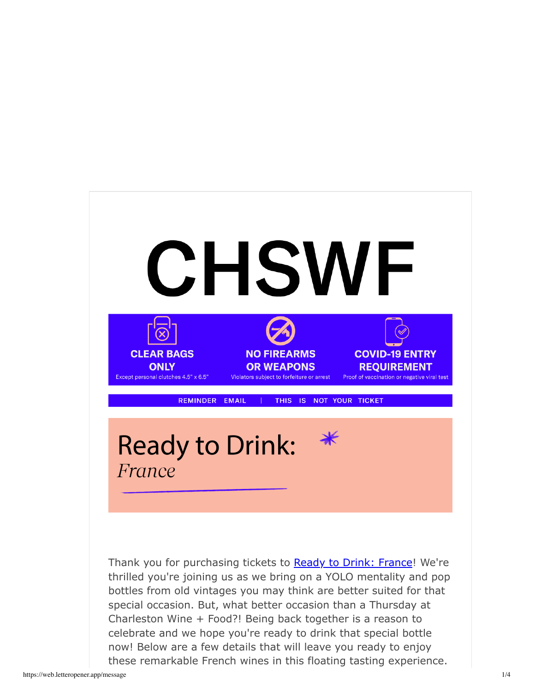

Thank you for purchasing tickets to Ready to Drink: France! We're thrilled you're joining us as we bring on a YOLO mentality and pop bottles from old vintages you may think are better suited for that special occasion. But, what better occasion than a Thursday at Charleston Wine + Food?! Being back together is a reason to celebrate and we hope you're ready to drink that special bottle now! Below are a few details that will leave you ready to enjoy these remarkable French wines in this floating tasting experience.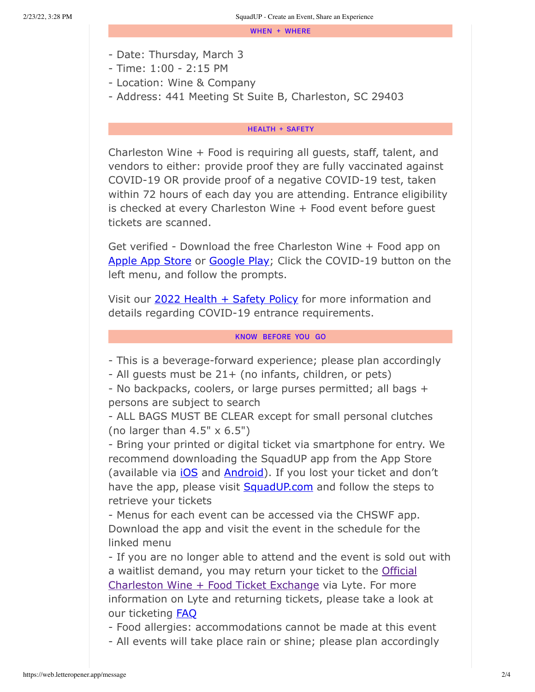WHEN + WHERE

- Date: Thursday, March 3
- Time: 1:00 2:15 PM
- Location: Wine & Company
- Address: 441 Meeting St Suite B, Charleston, SC 29403

## **HEALTH + SAFETY**

Charleston Wine + Food is requiring all guests, staff, talent, and vendors to either: provide proof they are fully vaccinated against COVID-19 OR provide proof of a negative COVID-19 test, taken within 72 hours of each day you are attending. Entrance eligibility is checked at every Charleston Wine + Food event before guest tickets are scanned.

Get verified - Download the free Charleston Wine + Food app on Apple App Store or Google Play; Click the COVID-19 button on the left menu, and follow the prompts.

Visit our 2022 Health + Safety Policy for more information and details regarding COVID-19 entrance requirements.

#### **KNOW BEFORE YOU GO**

- This is a beverage-forward experience; please plan accordingly

- All guests must be 21+ (no infants, children, or pets)

- No backpacks, coolers, or large purses permitted; all bags + persons are subject to search

- ALL BAGS MUST BE CLEAR except for small personal clutches (no larger than  $4.5" \times 6.5"$ )

- Bring your printed or digital ticket via smartphone for entry. We recommend downloading the SquadUP app from the App Store (available via iOS and Android). If you lost your ticket and don't have the app, please visit **SquadUP.com** and follow the steps to retrieve your tickets

- Menus for each event can be accessed via the CHSWF app. Download the app and visit the event in the schedule for the linked menu

- If you are no longer able to attend and the event is sold out with a waitlist demand, you may return your ticket to the Official Charleston Wine + Food Ticket Exchange via Lyte. For more information on Lyte and returning tickets, please take a look at our ticketing FAQ

- Food allergies: accommodations cannot be made at this event

- All events will take place rain or shine; please plan accordingly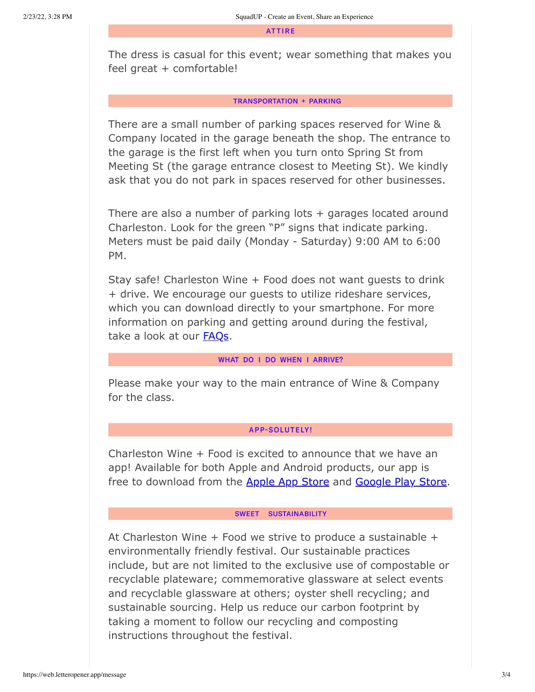**ATTIRE** 

The dress is casual for this event; wear something that makes you feel great + comfortable!

## **TRANSPORTATION + PARKING**

There are a small number of parking spaces reserved for Wine & Company located in the garage beneath the shop. The entrance to the garage is the first left when you turn onto Spring St from Meeting St (the garage entrance closest to Meeting St). We kindly ask that you do not park in spaces reserved for other businesses.

There are also a number of parking lots  $+$  garages located around Charleston. Look for the green "P" signs that indicate parking. Meters must be paid daily (Monday - Saturday) 9:00 AM to 6:00 PM.

Stay safe! Charleston Wine + Food does not want guests to drink + drive. We encourage our guests to utilize rideshare services, which you can download directly to your smartphone. For more information on parking and getting around during the festival, take a look at our **FAQs**.

#### WHAT DO I DO WHEN I ARRIVE?

Please make your way to the main entrance of Wine & Company for the class.

# **APP-SOLUTELY!**

Charleston Wine + Food is excited to announce that we have an app! Available for both Apple and Android products, our app is free to download from the Apple App Store and Google Play Store.

## SWEET SUSTAINABILITY

At Charleston Wine  $+$  Food we strive to produce a sustainable  $+$ environmentally friendly festival. Our sustainable practices include, but are not limited to the exclusive use of compostable or recyclable plateware; commemorative glassware at select events and recyclable glassware at others; oyster shell recycling; and sustainable sourcing. Help us reduce our carbon footprint by taking a moment to follow our recycling and composting instructions throughout the festival.